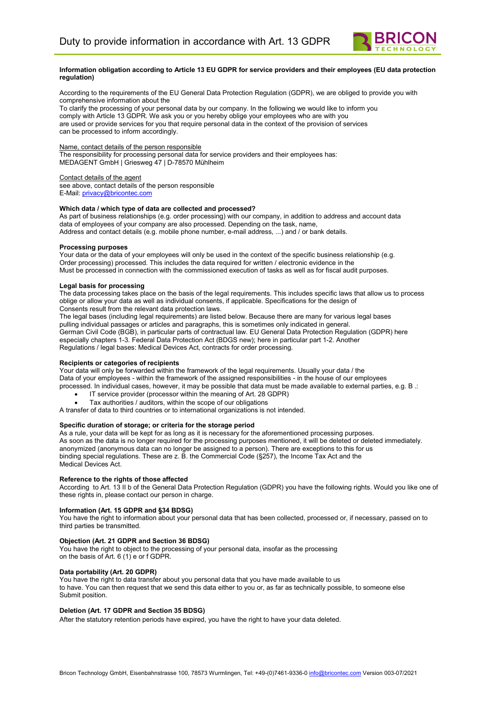

#### **Information obligation according to Article 13 EU GDPR for service providers and their employees (EU data protection regulation)**

According to the requirements of the EU General Data Protection Regulation (GDPR), we are obliged to provide you with comprehensive information about the

To clarify the processing of your personal data by our company. In the following we would like to inform you comply with Article 13 GDPR. We ask you or you hereby oblige your employees who are with you are used or provide services for you that require personal data in the context of the provision of services can be processed to inform accordingly.

#### Name, contact details of the person responsible

The responsibility for processing personal data for service providers and their employees has: MEDAGENT GmbH | Griesweg 47 | D-78570 Mühlheim

Contact details of the agent see above, contact details of the person responsible E-Mail: privacy@bricontec.com

#### **Which data / which type of data are collected and processed?**

As part of business relationships (e.g. order processing) with our company, in addition to address and account data data of employees of your company are also processed. Depending on the task, name, Address and contact details (e.g. mobile phone number, e-mail address, ...) and / or bank details.

#### **Processing purposes**

Your data or the data of your employees will only be used in the context of the specific business relationship (e.g. Order processing) processed. This includes the data required for written / electronic evidence in the Must be processed in connection with the commissioned execution of tasks as well as for fiscal audit purposes.

#### **Legal basis for processing**

The data processing takes place on the basis of the legal requirements. This includes specific laws that allow us to process oblige or allow your data as well as individual consents, if applicable. Specifications for the design of Consents result from the relevant data protection laws.

The legal bases (including legal requirements) are listed below. Because there are many for various legal bases pulling individual passages or articles and paragraphs, this is sometimes only indicated in general. German Civil Code (BGB), in particular parts of contractual law. EU General Data Protection Regulation (GDPR) here especially chapters 1-3. Federal Data Protection Act (BDGS new); here in particular part 1-2. Another Regulations / legal bases: Medical Devices Act, contracts for order processing.

## **Recipients or categories of recipients**

Your data will only be forwarded within the framework of the legal requirements. Usually your data / the Data of your employees - within the framework of the assigned responsibilities - in the house of our employees processed. In individual cases, however, it may be possible that data must be made available to external parties, e.g. B .:

- IT service provider (processor within the meaning of Art. 28 GDPR)
- Tax authorities / auditors, within the scope of our obligations
- A transfer of data to third countries or to international organizations is not intended.

# **Specific duration of storage; or criteria for the storage period**

As a rule, your data will be kept for as long as it is necessary for the aforementioned processing purposes. As soon as the data is no longer required for the processing purposes mentioned, it will be deleted or deleted immediately. anonymized (anonymous data can no longer be assigned to a person). There are exceptions to this for us binding special regulations. These are z. B. the Commercial Code (§257), the Income Tax Act and the Medical Devices Act.

#### **Reference to the rights of those affected**

According to Art. 13 II b of the General Data Protection Regulation (GDPR) you have the following rights. Would you like one of these rights in, please contact our person in charge.

## **Information (Art. 15 GDPR and §34 BDSG)**

You have the right to information about your personal data that has been collected, processed or, if necessary, passed on to third parties be transmitted.

## **Objection (Art. 21 GDPR and Section 36 BDSG)**

You have the right to object to the processing of your personal data, insofar as the processing on the basis of Art.  $6(1)$  e or f GDPR.

## **Data portability (Art. 20 GDPR)**

You have the right to data transfer about you personal data that you have made available to us to have. You can then request that we send this data either to you or, as far as technically possible, to someone else Submit position.

## **Deletion (Art. 17 GDPR and Section 35 BDSG)**

After the statutory retention periods have expired, you have the right to have your data deleted.